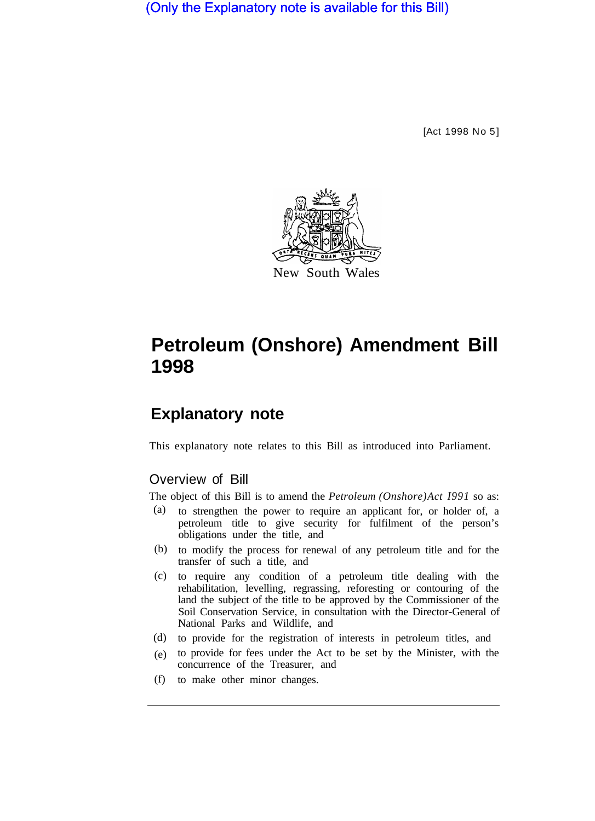(Only the Explanatory note is available for this Bill)

[Act 1998 No 5]



# **Petroleum (Onshore) Amendment Bill 1998**

# **Explanatory note**

This explanatory note relates to this Bill as introduced into Parliament.

## Overview of Bill

The object of this Bill is to amend the *Petroleum (Onshore) Act I991* so as:

- to strengthen the power to require an applicant for, or holder of, a petroleum title to give security for fulfilment of the person's obligations under the title, and (a)
- (b) to modify the process for renewal of any petroleum title and for the transfer of such a title, and
- to require any condition of a petroleum title dealing with the (c) rehabilitation, levelling, regrassing, reforesting or contouring of the land the subject of the title to be approved by the Commissioner of the Soil Conservation Service, in consultation with the Director-General of National Parks and Wildlife, and
- (d) to provide for the registration of interests in petroleum titles, and
- to provide for fees under the Act to be set by the Minister, with the (e) concurrence of the Treasurer, and
- to make other minor changes. (f)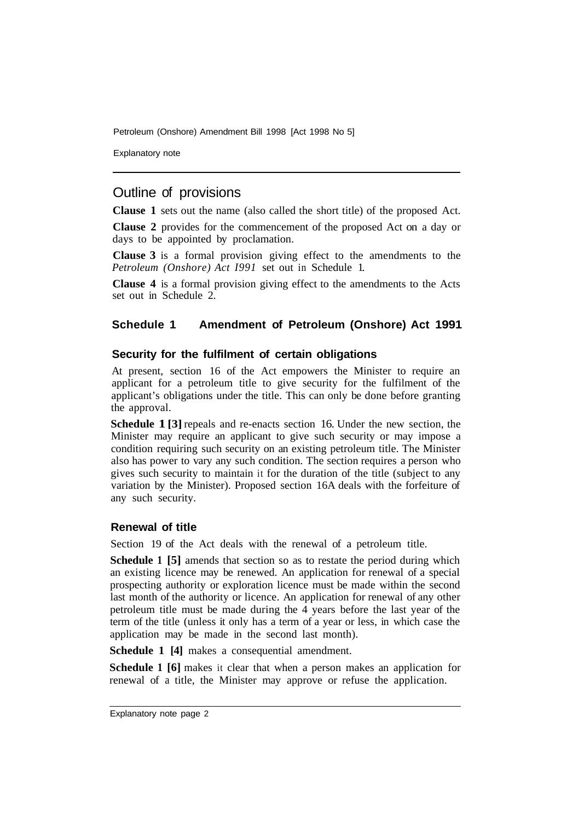Explanatory note

# Outline of provisions

**Clause 1** sets out the name (also called the short title) of the proposed Act.

**Clause 2** provides for the commencement of the proposed Act on a day or days to be appointed by proclamation.

**Clause 3** is a formal provision giving effect to the amendments to the *Petroleum (Onshore) Act I991* set out in Schedule 1.

**Clause 4** is a formal provision giving effect to the amendments to the Acts set out in Schedule 2.

#### **Schedule 1 Amendment of Petroleum (Onshore) Act 1991**

#### **Security for the fulfilment of certain obligations**

At present, section 16 of the Act empowers the Minister to require an applicant for a petroleum title to give security for the fulfilment of the applicant's obligations under the title. This can only be done before granting the approval.

**Schedule 1 [3]** repeals and re-enacts section 16. Under the new section, the Minister may require an applicant to give such security or may impose a condition requiring such security on an existing petroleum title. The Minister also has power to vary any such condition. The section requires a person who gives such security to maintain it for the duration of the title (subject to any variation by the Minister). Proposed section 16A deals with the forfeiture of any such security.

#### **Renewal of title**

Section 19 of the Act deals with the renewal of a petroleum title.

**Schedule 1 [5]** amends that section so as to restate the period during which an existing licence may be renewed. An application for renewal of a special prospecting authority or exploration licence must be made within the second last month of the authority or licence. An application for renewal of any other petroleum title must be made during the 4 years before the last year of the term of the title (unless it only has a term of a year or less, in which case the application may be made in the second last month).

**Schedule 1 [4]** makes a consequential amendment.

**Schedule 1 [6]** makes it clear that when a person makes an application for renewal of a title, the Minister may approve or refuse the application.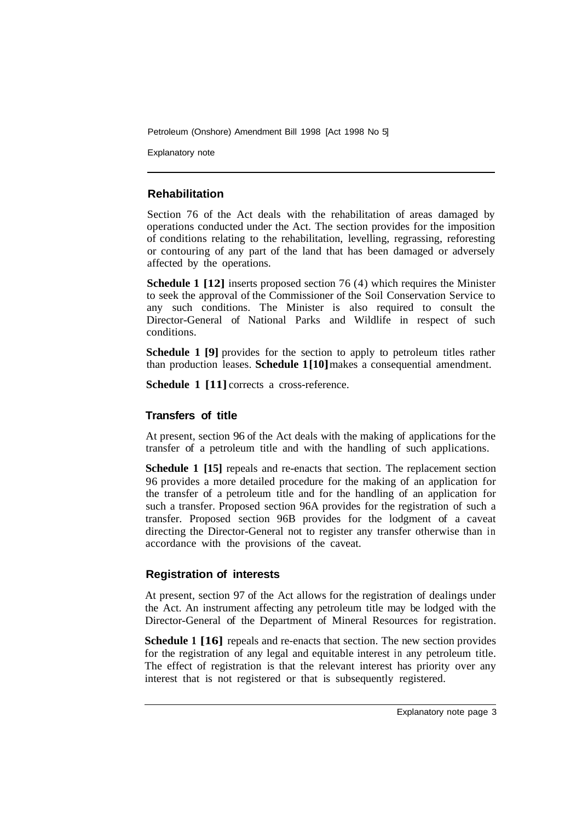Explanatory note

#### **Rehabilitation**

Section 76 of the Act deals with the rehabilitation of areas damaged by operations conducted under the Act. The section provides for the imposition of conditions relating to the rehabilitation, levelling, regrassing, reforesting or contouring of any part of the land that has been damaged or adversely affected by the operations.

**Schedule 1 [12]** inserts proposed section 76 (4) which requires the Minister to seek the approval of the Commissioner of the Soil Conservation Service to any such conditions. The Minister is also required to consult the Director-General of National Parks and Wildlife in respect of such conditions.

**Schedule 1 [9]** provides for the section to apply to petroleum titles rather than production leases. **Schedule 1[10]**makes a consequential amendment.

**Schedule 1 [11]** corrects a cross-reference.

#### **Transfers of title**

At present, section 96 of the Act deals with the making of applications for the transfer of a petroleum title and with the handling of such applications.

**Schedule 1 [15]** repeals and re-enacts that section. The replacement section 96 provides a more detailed procedure for the making of an application for the transfer of a petroleum title and for the handling of an application for such a transfer. Proposed section 96A provides for the registration of such a transfer. Proposed section 96B provides for the lodgment of a caveat directing the Director-General not to register any transfer otherwise than in accordance with the provisions of the caveat.

#### **Registration of interests**

At present, section 97 of the Act allows for the registration of dealings under the Act. An instrument affecting any petroleum title may be lodged with the Director-General of the Department of Mineral Resources for registration.

**Schedule 1 [16]** repeals and re-enacts that section. The new section provides for the registration of any legal and equitable interest in any petroleum title. The effect of registration is that the relevant interest has priority over any interest that is not registered or that is subsequently registered.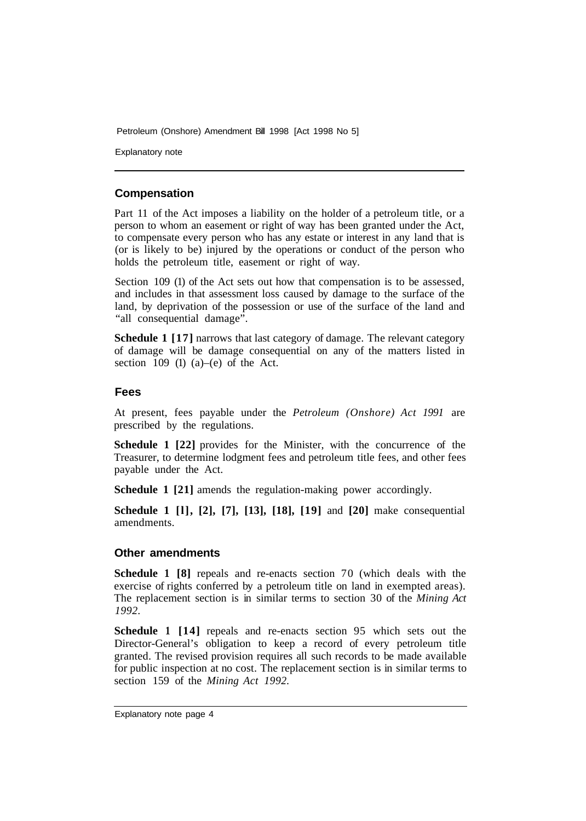Explanatory note

#### **Compensation**

Part 11 of the Act imposes a liability on the holder of a petroleum title, or a person to whom an easement or right of way has been granted under the Act, to compensate every person who has any estate or interest in any land that is (or is likely to be) injured by the operations or conduct of the person who holds the petroleum title, easement or right of way.

Section 109 (1) of the Act sets out how that compensation is to be assessed, and includes in that assessment loss caused by damage to the surface of the land, by deprivation of the possession or use of the surface of the land and "all consequential damage".

**Schedule 1 [17]** narrows that last category of damage. The relevant category of damage will be damage consequential on any of the matters listed in section  $109$  (1) (a)–(e) of the Act.

#### **Fees**

At present, fees payable under the *Petroleum (Onshore) Act 1991* are prescribed by the regulations.

**Schedule 1 [22]** provides for the Minister, with the concurrence of the Treasurer, to determine lodgment fees and petroleum title fees, and other fees payable under the Act.

**Schedule 1 [21]** amends the regulation-making power accordingly.

**Schedule 1 [l], [2], [7], [13], [18], [19]** and **[20]** make consequential amendments.

#### **Other amendments**

**Schedule 1 [8]** repeals and re-enacts section 70 (which deals with the exercise of rights conferred by a petroleum title on land in exempted areas). The replacement section is in similar terms to section 30 of the *Mining Act 1992.* 

**Schedule 1 [14]** repeals and re-enacts section 95 which sets out the Director-General's obligation to keep a record of every petroleum title granted. The revised provision requires all such records to be made available for public inspection at no cost. The replacement section is in similar terms to section 159 of the *Mining Act 1992.*